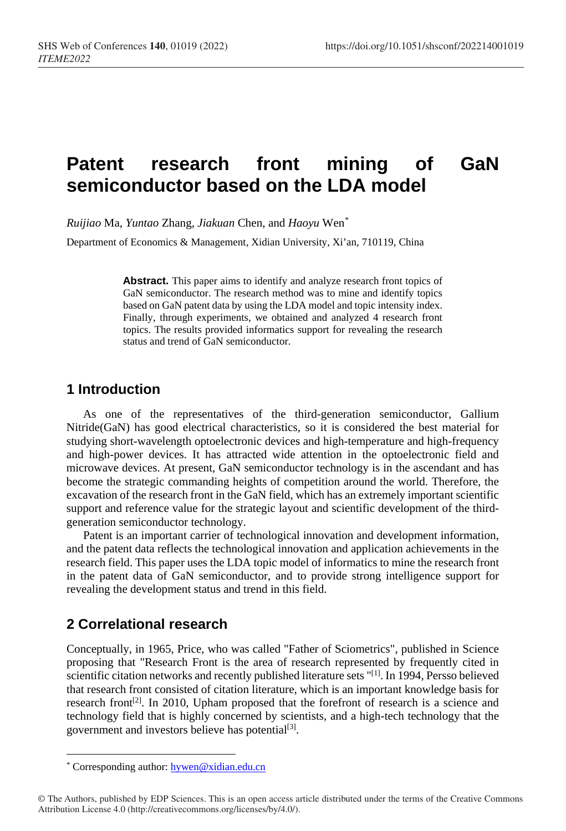# **Patent research front mining of GaN semiconductor based on the LDA model**

*Ruijiao* Ma, *Yuntao* Zhang, *Jiakuan* Chen, and *Haoyu* Wen[\\*](#page-0-0)

Department of Economics & Management, Xidian University, Xi'an, 710119, China

**Abstract.** This paper aims to identify and analyze research front topics of GaN semiconductor. The research method was to mine and identify topics based on GaN patent data by using the LDA model and topic intensity index. Finally, through experiments, we obtained and analyzed 4 research front topics. The results provided informatics support for revealing the research status and trend of GaN semiconductor.

### **1 Introduction**

As one of the representatives of the third-generation semiconductor, Gallium Nitride(GaN) has good electrical characteristics, so it is considered the best material for studying short-wavelength optoelectronic devices and high-temperature and high-frequency and high-power devices. It has attracted wide attention in the optoelectronic field and microwave devices. At present, GaN semiconductor technology is in the ascendant and has become the strategic commanding heights of competition around the world. Therefore, the excavation of the research front in the GaN field, which has an extremely important scientific support and reference value for the strategic layout and scientific development of the thirdgeneration semiconductor technology.

Patent is an important carrier of technological innovation and development information, and the patent data reflects the technological innovation and application achievements in the research field. This paper uses the LDA topic model of informatics to mine the research front in the patent data of GaN semiconductor, and to provide strong intelligence support for revealing the development status and trend in this field.

### **2 Correlational research**

Conceptually, in 1965, Price, who was called "Father of Sciometrics", published in Science proposing that "Research Front is the area of research represented by frequently cited in scientific citation networks and recently published literature sets "[1]. In 1994, Persso believed that research front consisted of citation literature, which is an important knowledge basis for research front<sup>[2]</sup>. In 2010, Upham proposed that the forefront of research is a science and technology field that is highly concerned by scientists, and a high-tech technology that the government and investors believe has potential<sup>[3]</sup>.

 $\overline{a}$ 

<sup>\*</sup> Corresponding author[: hywen@xidian.edu.cn](mailto:hywen@xidian.edu.cnorg)

<span id="page-0-0"></span><sup>©</sup> The Authors, published by EDP Sciences. This is an open access article distributed under the terms of the Creative Commons Attribution License 4.0 (http://creativecommons.org/licenses/by/4.0/).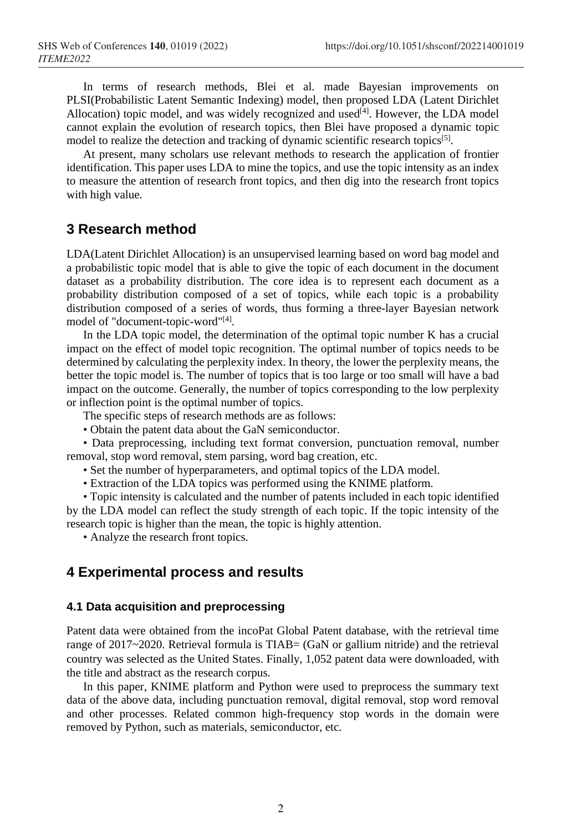In terms of research methods, Blei et al. made Bayesian improvements on PLSI(Probabilistic Latent Semantic Indexing) model, then proposed LDA (Latent Dirichlet Allocation) topic model, and was widely recognized and used $[4]$ . However, the LDA model cannot explain the evolution of research topics, then Blei have proposed a dynamic topic model to realize the detection and tracking of dynamic scientific research topics<sup>[5]</sup>.

At present, many scholars use relevant methods to research the application of frontier identification. This paper uses LDA to mine the topics, and use the topic intensity as an index to measure the attention of research front topics, and then dig into the research front topics with high value.

### **3 Research method**

LDA(Latent Dirichlet Allocation) is an unsupervised learning based on word bag model and a probabilistic topic model that is able to give the topic of each document in the document dataset as a probability distribution. The core idea is to represent each document as a probability distribution composed of a set of topics, while each topic is a probability distribution composed of a series of words, thus forming a three-layer Bayesian network model of "document-topic-word"[4].

In the LDA topic model, the determination of the optimal topic number K has a crucial impact on the effect of model topic recognition. The optimal number of topics needs to be determined by calculating the perplexity index. In theory, the lower the perplexity means, the better the topic model is. The number of topics that is too large or too small will have a bad impact on the outcome. Generally, the number of topics corresponding to the low perplexity or inflection point is the optimal number of topics.

The specific steps of research methods are as follows:

• Obtain the patent data about the GaN semiconductor.

• Data preprocessing, including text format conversion, punctuation removal, number removal, stop word removal, stem parsing, word bag creation, etc.

- Set the number of hyperparameters, and optimal topics of the LDA model.
- Extraction of the LDA topics was performed using the KNIME platform.

• Topic intensity is calculated and the number of patents included in each topic identified by the LDA model can reflect the study strength of each topic. If the topic intensity of the research topic is higher than the mean, the topic is highly attention.

• Analyze the research front topics.

## **4 Experimental process and results**

### **4.1 Data acquisition and preprocessing**

Patent data were obtained from the incoPat Global Patent database, with the retrieval time range of 2017~2020. Retrieval formula is TIAB= (GaN or gallium nitride) and the retrieval country was selected as the United States. Finally, 1,052 patent data were downloaded, with the title and abstract as the research corpus.

In this paper, KNIME platform and Python were used to preprocess the summary text data of the above data, including punctuation removal, digital removal, stop word removal and other processes. Related common high-frequency stop words in the domain were removed by Python, such as materials, semiconductor, etc.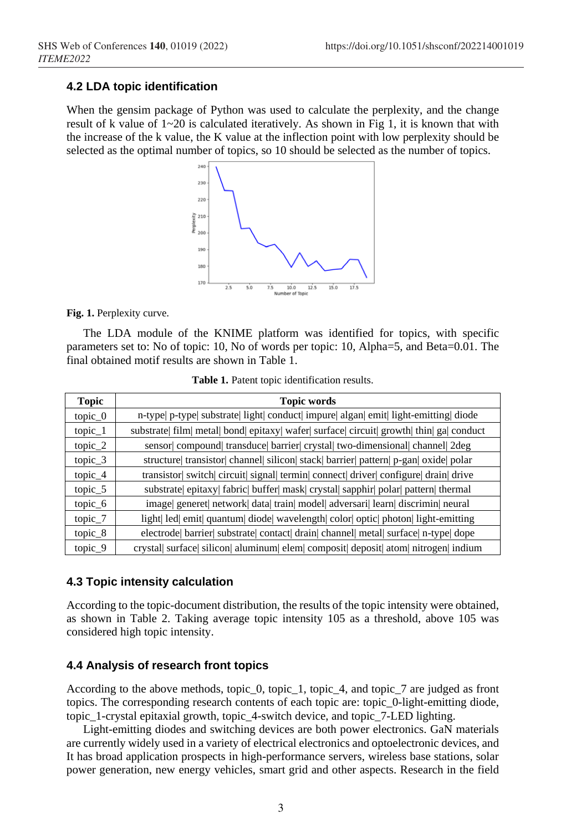### **4.2 LDA topic identification**

When the gensim package of Python was used to calculate the perplexity, and the change result of k value of  $1~20$  is calculated iteratively. As shown in Fig 1, it is known that with the increase of the k value, the K value at the inflection point with low perplexity should be selected as the optimal number of topics, so 10 should be selected as the number of topics.



**Fig. 1.** Perplexity curve.

The LDA module of the KNIME platform was identified for topics, with specific parameters set to: No of topic: 10, No of words per topic: 10, Alpha=5, and Beta=0.01. The final obtained motif results are shown in Table 1.

| <b>Topic</b>         | <b>Topic words</b>                                                                        |
|----------------------|-------------------------------------------------------------------------------------------|
| $topic_0$            | n-type  p-type  substrate  light  conduct  impure  algan  emit  light-emitting  diode     |
| $topic_1$            | substrate  film  metal  bond  epitaxy  wafer  surface  circuit  growth  thin  ga  conduct |
| $topic_2$            | sensor  compound  transduce  barrier  crystal  two-dimensional  channel  2deg             |
| topic $\overline{3}$ | structure transistor channel silicon stack barrier pattern p-gan oxide polar              |
| $topic_4$            | transistor  switch  circuit  signal  termin  connect  driver  configure  drain  drive     |
| $topic_5$            | substrate  epitaxy  fabric  buffer  mask  crystal  sapphir  polar  pattern  thermal       |
| $topic_6$            | image generet network data train model adversari learn discrimin neural                   |
| topic_7              | light  led  emit  quantum  diode  wavelength  color  optic  photon  light-emitting        |
| topic $8$            | electrode  barrier  substrate  contact  drain  channel  metal  surface  n-type  dope      |
| topic 9              | crystal  surface  silicon  aluminum  elem  composit  deposit  atom  nitrogen  indium      |

**Table 1.** Patent topic identification results.

### **4.3 Topic intensity calculation**

According to the topic-document distribution, the results of the topic intensity were obtained, as shown in Table 2. Taking average topic intensity 105 as a threshold, above 105 was considered high topic intensity.

#### **4.4 Analysis of research front topics**

According to the above methods, topic\_0, topic\_1, topic\_4, and topic\_7 are judged as front topics. The corresponding research contents of each topic are: topic\_0-light-emitting diode, topic\_1-crystal epitaxial growth, topic\_4-switch device, and topic\_7-LED lighting.

Light-emitting diodes and switching devices are both power electronics. GaN materials are currently widely used in a variety of electrical electronics and optoelectronic devices, and It has broad application prospects in high-performance servers, wireless base stations, solar power generation, new energy vehicles, smart grid and other aspects. Research in the field